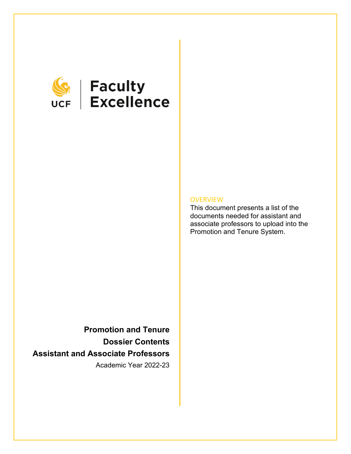

# **SEEP Faculty**<br>UCF Excellence

#### **OVERVIEW**

This document presents a list of the documents needed for assistant and associate professors to upload into the Promotion and Tenure System.

**Promotion and Tenure Dossier Contents Assistant and Associate Professors** Academic Year 2022-23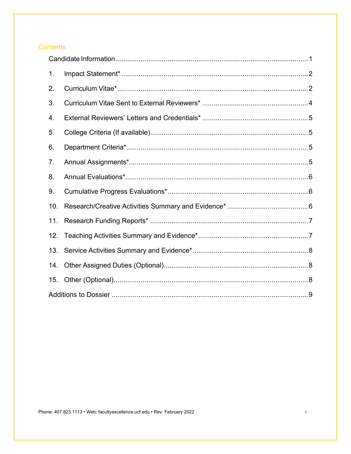## **Contents**

| 1 <sub>1</sub> |  |
|----------------|--|
| 2.             |  |
| 3.             |  |
| 4.             |  |
| 5.             |  |
| 6.             |  |
| 7.             |  |
| 8.             |  |
| 9.             |  |
| 10.            |  |
| 11.            |  |
| 12.            |  |
| 13.            |  |
| 14.            |  |
| 15.            |  |
|                |  |

Phone: 407.823.1113 • Web: facultyexcellence.ucf.edu • Rev. February 2022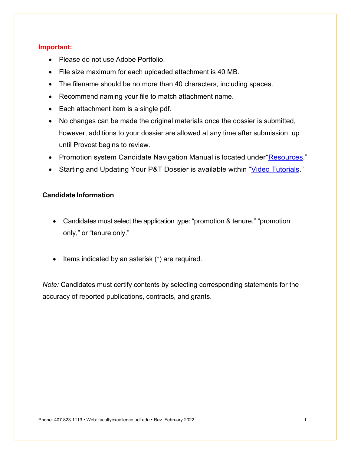#### **Important:**

- Please do not use Adobe Portfolio.
- File size maximum for each uploaded attachment is 40 MB.
- The filename should be no more than 40 characters, including spaces.
- Recommend naming your file to match attachment name.
- Each attachment item is a single pdf.
- No changes can be made the original materials once the dossier is submitted, however, additions to your dossier are allowed at any time after submission, up until Provost begins to review.
- Promotion system Candidate Navigation Manual is located under ["Resources.](https://facultyexcellence.ucf.edu/promotion/)"
- Starting and Updating Your P&T Dossier is available within ["Video Tutorials.](https://facultyexcellence.ucf.edu/promotion/)"

#### <span id="page-2-0"></span>**Candidate Information**

- Candidates must select the application type: "promotion & tenure," "promotion only," or "tenure only."
- Items indicated by an asterisk (\*) are required.

*Note:* Candidates must certify contents by selecting corresponding statements for the accuracy of reported publications, contracts, and grants.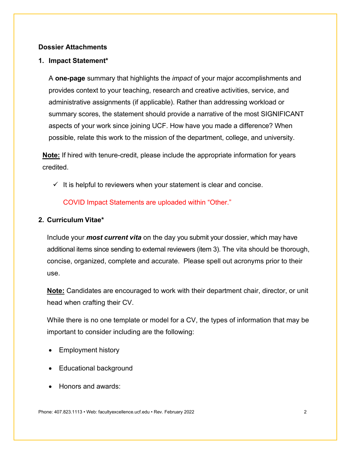#### **Dossier Attachments**

#### <span id="page-3-0"></span>**1. Impact Statement\***

A **one-page** summary that highlights the *impact* of your major accomplishments and provides context to your teaching, research and creative activities, service, and administrative assignments (if applicable). Rather than addressing workload or summary scores, the statement should provide a narrative of the most SIGNIFICANT aspects of your work since joining UCF. How have you made a difference? When possible, relate this work to the mission of the department, college, and university.

**Note:** If hired with tenure-credit, please include the appropriate information for years credited.

 $\checkmark$  It is helpful to reviewers when your statement is clear and concise.

COVID Impact Statements are uploaded within "Other."

#### <span id="page-3-1"></span>**2. Curriculum Vitae\***

Include your *most current vita* on the day you submit your dossier, which may have additional items since sending to external reviewers (item 3). The vita should be thorough, concise, organized, complete and accurate. Please spell out acronyms prior to their use.

**Note:** Candidates are encouraged to work with their department chair, director, or unit head when crafting their CV.

While there is no one template or model for a CV, the types of information that may be important to consider including are the following:

- Employment history
- Educational background
- Honors and awards: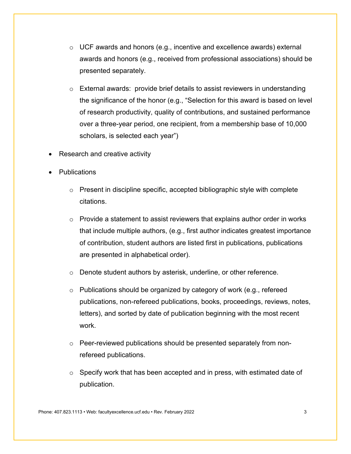- o UCF awards and honors (e.g., incentive and excellence awards) external awards and honors (e.g., received from professional associations) should be presented separately.
- o External awards: provide brief details to assist reviewers in understanding the significance of the honor (e.g., "Selection for this award is based on level of research productivity, quality of contributions, and sustained performance over a three-year period, one recipient, from a membership base of 10,000 scholars, is selected each year")
- Research and creative activity
- **Publications** 
	- $\circ$  Present in discipline specific, accepted bibliographic style with complete citations.
	- $\circ$  Provide a statement to assist reviewers that explains author order in works that include multiple authors, (e.g., first author indicates greatest importance of contribution, student authors are listed first in publications, publications are presented in alphabetical order).
	- o Denote student authors by asterisk, underline, or other reference.
	- o Publications should be organized by category of work (e.g., refereed publications, non-refereed publications, books, proceedings, reviews, notes, letters), and sorted by date of publication beginning with the most recent work.
	- o Peer-reviewed publications should be presented separately from nonrefereed publications.
	- $\circ$  Specify work that has been accepted and in press, with estimated date of publication.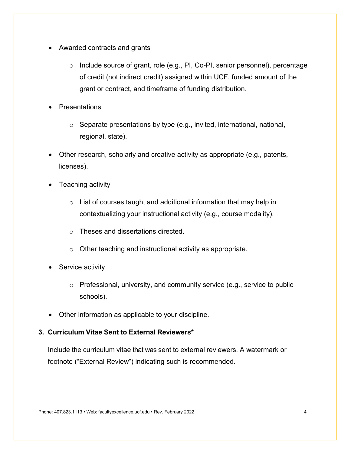- Awarded contracts and grants
	- o Include source of grant, role (e.g., PI, Co-PI, senior personnel), percentage of credit (not indirect credit) assigned within UCF, funded amount of the grant or contract, and timeframe of funding distribution.
- **Presentations** 
	- o Separate presentations by type (e.g., invited, international, national, regional, state).
- Other research, scholarly and creative activity as appropriate (e.g., patents, licenses).
- Teaching activity
	- $\circ$  List of courses taught and additional information that may help in contextualizing your instructional activity (e.g., course modality).
	- o Theses and dissertations directed.
	- o Other teaching and instructional activity as appropriate.
- Service activity
	- o Professional, university, and community service (e.g., service to public schools).
- Other information as applicable to your discipline.

#### <span id="page-5-0"></span>**3. Curriculum Vitae Sent to External Reviewers\***

Include the curriculum vitae that was sent to external reviewers. A watermark or footnote ("External Review") indicating such is recommended.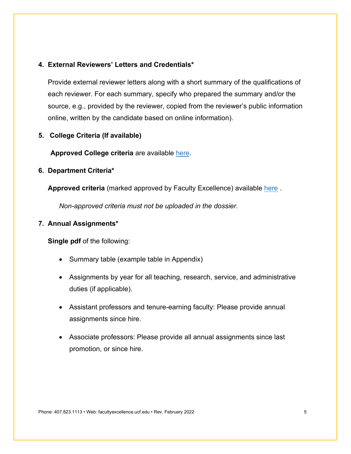#### <span id="page-6-0"></span>**4. External Reviewers' Letters and Credentials\***

Provide external reviewer letters along with a short summary of the qualifications of each reviewer. For each summary, specify who prepared the summary and/or the source, e.g., provided by the reviewer, copied from the reviewer's public information online, written by the candidate based on online information).

#### <span id="page-6-1"></span>**5. College Criteria (If available)**

**Approved College criteria** are available [here.](https://facultyexcellence.ucf.edu/promotion/criteria/)

#### <span id="page-6-2"></span>**6. Department Criteria\***

**Approved criteria** (marked approved by Faculty Excellence) available [here](https://facultyexcellence.ucf.edu/promotion/criteria/) .

*Non-approved criteria must not be uploaded in the dossier*.

#### <span id="page-6-3"></span>**7. Annual Assignments\***

**Single pdf** of the following:

- Summary table (example table in Appendix)
- Assignments by year for all teaching, research, service, and administrative duties (if applicable).
- Assistant professors and tenure-earning faculty: Please provide annual assignments since hire.
- Associate professors: Please provide all annual assignments since last promotion, or since hire.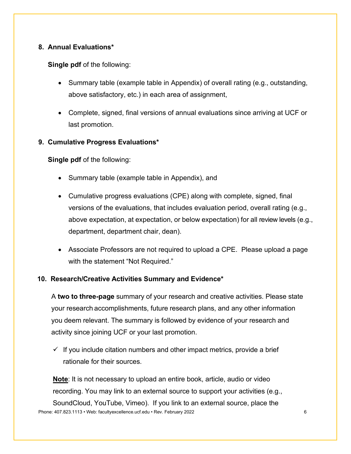## <span id="page-7-0"></span>**8. Annual Evaluations\***

#### **Single pdf** of the following:

- Summary table (example table in Appendix) of overall rating (e.g., outstanding, above satisfactory, etc.) in each area of assignment,
- Complete, signed, final versions of annual evaluations since arriving at UCF or last promotion.

#### <span id="page-7-1"></span>**9. Cumulative Progress Evaluations\***

**Single pdf** of the following:

- Summary table (example table in Appendix), and
- Cumulative progress evaluations (CPE) along with complete, signed, final versions of the evaluations, that includes evaluation period, overall rating (e.g., above expectation, at expectation, or below expectation) for all review levels (e.g., department, department chair, dean).
- Associate Professors are not required to upload a CPE. Please upload a page with the statement "Not Required."

#### <span id="page-7-2"></span>**10. Research/Creative Activities Summary and Evidence\***

A **two to three-page** summary of your research and creative activities. Please state your research accomplishments, future research plans, and any other information you deem relevant. The summary is followed by evidence of your research and activity since joining UCF or your last promotion.

 $\checkmark$  If you include citation numbers and other impact metrics, provide a brief rationale for their sources.

**Note**: It is not necessary to upload an entire book, article, audio or video recording. You may link to an external source to support your activities (e.g.,

Phone: 407.823.1113 • Web: facultyexcellence.ucf.edu • Rev. February 2022 6 SoundCloud, YouTube, Vimeo). If you link to an external source, place the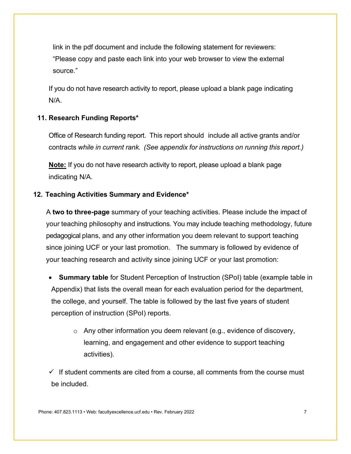link in the pdf document and include the following statement for reviewers: "Please copy and paste each link into your web browser to view the external source."

If you do not have research activity to report, please upload a blank page indicating N/A.

#### <span id="page-8-0"></span>**11. Research Funding Reports\***

Office of Research funding report. This report should include all active grants and/or contracts *while in current rank. (See appendix for instructions on running this report.)*

**Note:** If you do not have research activity to report, please upload a blank page indicating N/A.

#### <span id="page-8-1"></span>**12. Teaching Activities Summary and Evidence\***

A **two to three-page** summary of your teaching activities. Please include the impact of your teaching philosophy and instructions. You may include teaching methodology, future pedagogical plans, and any other information you deem relevant to support teaching since joining UCF or your last promotion. The summary is followed by evidence of your teaching research and activity since joining UCF or your last promotion:

**Summary table** for Student Perception of Instruction (SPoI) table (example table in Appendix) that lists the overall mean for each evaluation period for the department, the college, and yourself. The table is followed by the last five years of student perception of instruction (SPoI) reports.

o Any other information you deem relevant (e.g., evidence of discovery, learning, and engagement and other evidence to support teaching activities).

 $\checkmark$  If student comments are cited from a course, all comments from the course must be included.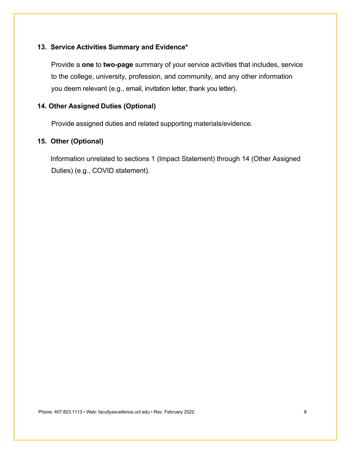#### <span id="page-9-0"></span>**13. Service Activities Summary and Evidence\***

Provide a **one** to **two-page** summary of your service activities that includes, service to the college, university, profession, and community, and any other information you deem relevant (e.g., email, invitation letter, thank you letter).

## <span id="page-9-1"></span>**14. Other Assigned Duties (Optional)**

<span id="page-9-2"></span>Provide assigned duties and related supporting materials/evidence.

#### **15. Other (Optional)**

Information unrelated to sections 1 (Impact Statement) through 14 (Other Assigned Duties) (e.g., COVID statement).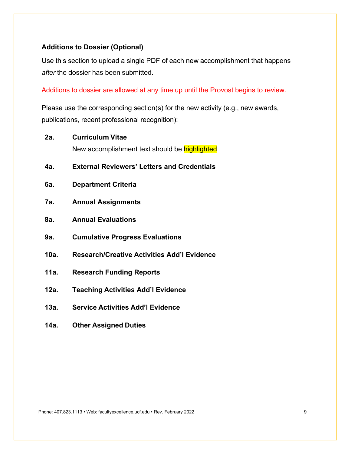#### <span id="page-10-0"></span>**Additions to Dossier (Optional)**

Use this section to upload a single PDF of each new accomplishment that happens *after* the dossier has been submitted.

Additions to dossier are allowed at any time up until the Provost begins to review.

Please use the corresponding section(s) for the new activity (e.g., new awards, publications, recent professional recognition):

- **2a. Curriculum Vitae** New accomplishment text should be highlighted
- **4a. External Reviewers' Letters and Credentials**
- **6a. Department Criteria**
- **7a. Annual Assignments**
- **8a. Annual Evaluations**
- **9a. Cumulative Progress Evaluations**
- **10a. Research/Creative Activities Add'l Evidence**
- **11a. Research Funding Reports**
- **12a. Teaching Activities Add'l Evidence**
- **13a. Service Activities Add'l Evidence**
- **14a. Other Assigned Duties**

Phone: 407.823.1113 • Web: facultyexcellence.ucf.edu • Rev. February 2022 9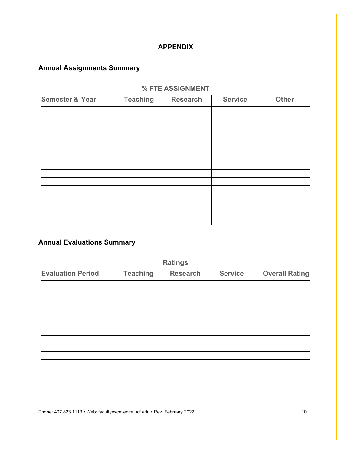# **APPENDIX**

# **Annual Assignments Summary**

| % FTE ASSIGNMENT           |                 |                 |                |              |
|----------------------------|-----------------|-----------------|----------------|--------------|
| <b>Semester &amp; Year</b> | <b>Teaching</b> | <b>Research</b> | <b>Service</b> | <b>Other</b> |
|                            |                 |                 |                |              |
|                            |                 |                 |                |              |
|                            |                 |                 |                |              |
|                            |                 |                 |                |              |
|                            |                 |                 |                |              |
|                            |                 |                 |                |              |
|                            |                 |                 |                |              |
|                            |                 |                 |                |              |
|                            |                 |                 |                |              |
|                            |                 |                 |                |              |
|                            |                 |                 |                |              |
|                            |                 |                 |                |              |
|                            |                 |                 |                |              |

# **Annual Evaluations Summary**

| <b>Ratings</b>           |                 |                 |                |                       |
|--------------------------|-----------------|-----------------|----------------|-----------------------|
| <b>Evaluation Period</b> | <b>Teaching</b> | <b>Research</b> | <b>Service</b> | <b>Overall Rating</b> |
|                          |                 |                 |                |                       |
|                          |                 |                 |                |                       |
|                          |                 |                 |                |                       |
|                          |                 |                 |                |                       |
|                          |                 |                 |                |                       |
|                          |                 |                 |                |                       |
|                          |                 |                 |                |                       |
|                          |                 |                 |                |                       |
|                          |                 |                 |                |                       |
|                          |                 |                 |                |                       |
|                          |                 |                 |                |                       |
|                          |                 |                 |                |                       |
|                          |                 |                 |                |                       |
|                          |                 |                 |                |                       |

Phone: 407.823.1113 • Web: facultyexcellence.ucf.edu • Rev. February 2022 10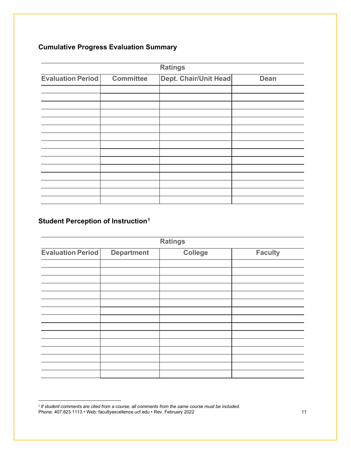# **Cumulative Progress Evaluation Summary**

|                          |                  | <b>Ratings</b>               |             |
|--------------------------|------------------|------------------------------|-------------|
| <b>Evaluation Period</b> | <b>Committee</b> | <b>Dept. Chair/Unit Head</b> | <b>Dean</b> |
|                          |                  |                              |             |
|                          |                  |                              |             |
|                          |                  |                              |             |
|                          |                  |                              |             |
|                          |                  |                              |             |
|                          |                  |                              |             |
|                          |                  |                              |             |
|                          |                  |                              |             |
|                          |                  |                              |             |
|                          |                  |                              |             |
|                          |                  |                              |             |
|                          |                  |                              |             |
|                          |                  |                              |             |
|                          |                  |                              |             |
|                          |                  |                              |             |

# **Student Perception of Instruction[1](#page-12-0)**

l,

|                          |                   | <b>Ratings</b> |                |
|--------------------------|-------------------|----------------|----------------|
| <b>Evaluation Period</b> | <b>Department</b> | <b>College</b> | <b>Faculty</b> |
|                          |                   |                |                |
|                          |                   |                |                |
|                          |                   |                |                |
|                          |                   |                |                |
|                          |                   |                |                |
|                          |                   |                |                |
|                          |                   |                |                |
|                          |                   |                |                |
|                          |                   |                |                |
|                          |                   |                |                |
|                          |                   |                |                |
|                          |                   |                |                |
|                          |                   |                |                |
|                          |                   |                |                |

<span id="page-12-0"></span>Phone: 407.823.1113 • Web: facultyexcellence.ucf.edu • Rev. February 2022 11 <sup>1</sup> *If student comments are cited from a course, all comments from the same course must be included.*